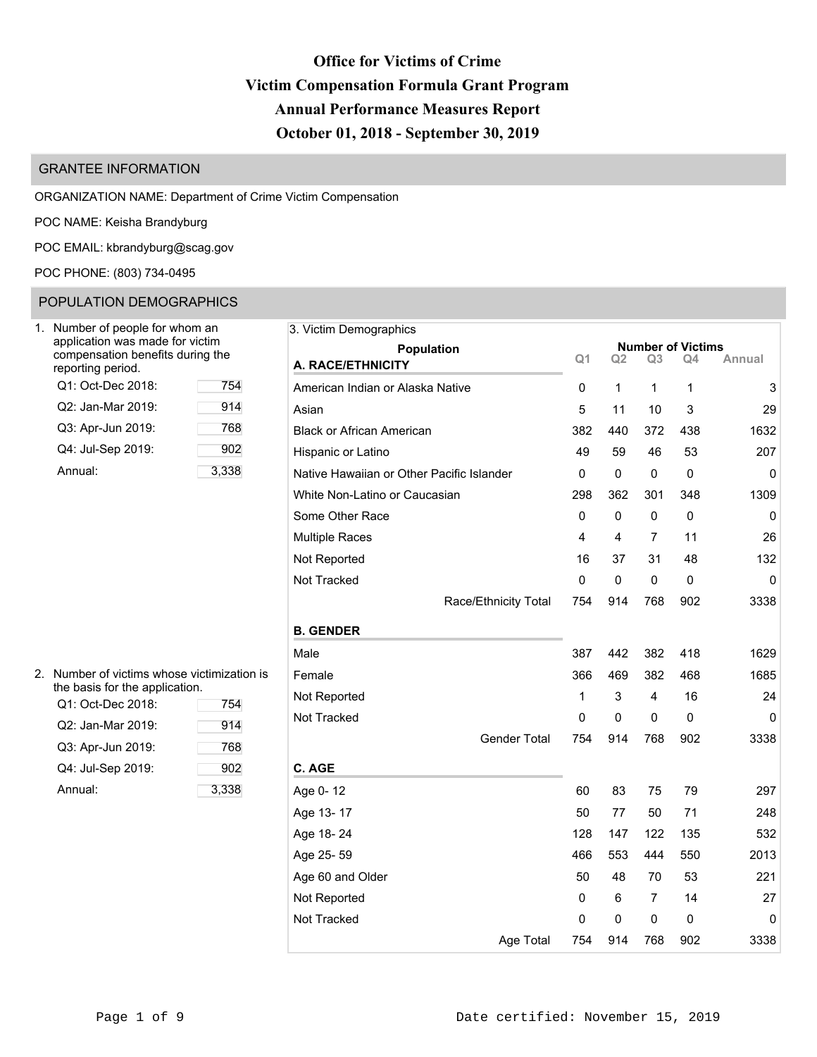# **Office for Victims of Crime Victim Compensation Formula Grant Program Annual Performance Measures Report October 01, 2018 - September 30, 2019**

3. Victim Demographics

**Q1 Q2 Q3 Q4 Annual A. RACE/ETHNICITY**

# GRANTEE INFORMATION

ORGANIZATION NAME: Department of Crime Victim Compensation

POC NAME: Keisha Brandyburg

POC EMAIL: [kbrandyburg@scag.gov](mailto:kbrandyburg@scag.gov)

# POC PHONE: (803) 734-0495

# POPULATION DEMOGRAPHICS

| Number of people for whom an<br>application was made for victim<br>compensation benefits during the<br>reporting period. |       |
|--------------------------------------------------------------------------------------------------------------------------|-------|
| Q1: Oct-Dec 2018:                                                                                                        | 754   |
| Q2: Jan-Mar 2019:                                                                                                        | 914   |
| Q3: Apr-Jun 2019:                                                                                                        | 768   |
| Q4: Jul-Sep 2019:                                                                                                        | 902   |
| Annual:                                                                                                                  | 3,338 |

|                       | White Non-Latino or Caucasian | 298 | 362         | 301 | 348         | 1309        |
|-----------------------|-------------------------------|-----|-------------|-----|-------------|-------------|
|                       | Some Other Race               | 0   | $\mathbf 0$ | 0   | $\mathbf 0$ | $\mathbf 0$ |
|                       | Multiple Races                | 4   | 4           | 7   | 11          | 26          |
|                       | Not Reported                  | 16  | 37          | 31  | 48          | 132         |
|                       | Not Tracked                   | 0   | $\mathbf 0$ | 0   | $\mathbf 0$ | $\mathbf 0$ |
|                       | Race/Ethnicity Total          | 754 | 914         | 768 | 902         | 3338        |
|                       | <b>B. GENDER</b>              |     |             |     |             |             |
|                       | Male                          | 387 | 442         | 382 | 418         | 1629        |
| hose victimization is | Female                        | 366 | 469         | 382 | 468         | 1685        |
| blication.<br>754     | Not Reported                  | 1   | 3           | 4   | 16          | 24          |
| 914                   | Not Tracked                   | 0   | 0           | 0   | $\mathbf 0$ | 0           |
| 768                   | Gender Total                  | 754 | 914         | 768 | 902         | 3338        |
| 902                   | C. AGE                        |     |             |     |             |             |
| 3,338                 | Age 0-12                      | 60  | 83          | 75  | 79          | 297         |
|                       | Age 13-17                     | 50  | 77          | 50  | 71          | 248         |
|                       | Age 18-24                     | 128 | 147         | 122 | 135         | 532         |
|                       | Age 25-59                     | 466 | 553         | 444 | 550         | 2013        |
|                       | Age 60 and Older              | 50  | 48          | 70  | 53          | 221         |
|                       | Not Reported                  | 0   | 6           | 7   | 14          | 27          |
|                       |                               |     |             |     |             |             |

## 2. Number of victims who the basis for the app

| Q1: Oct-Dec 2018: | 754   |
|-------------------|-------|
| Q2: Jan-Mar 2019: | 914   |
| Q3: Apr-Jun 2019: | 768   |
| Q4: Jul-Sep 2019: | 902   |
| Annual:           | 3,338 |

Age Total 754 914 768 902 3338

Not Tracked and the control of the control of the control of the control of the control of the control of the control of the control of the control of the control of the control of the control of the control of the control

**Population Number of Victims**<br> **C**1 Q2 Q3 Q4 Annual

American Indian or Alaska Native 0 1 1 1 3 Asian 5 11 10 3 29 Black or African American 382 440 372 438 1632 Hispanic or Latino 49 59 46 53 207 Native Hawaiian or Other Pacific Islander  $\begin{pmatrix} 0 & 0 & 0 \\ 0 & 0 & 0 \end{pmatrix}$  0 0 0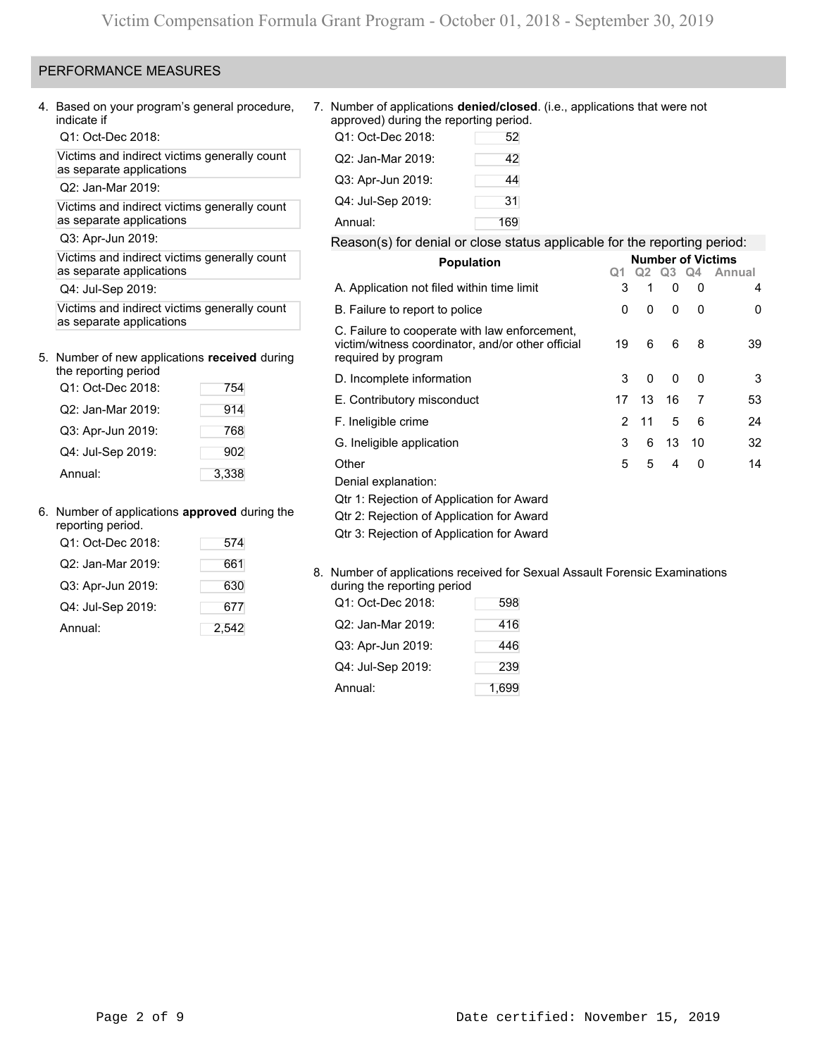# PERFORMANCE MEASURES

Q1: Oct-Dec 2018:

Victims and indirect victims generally count as separate applications

Q2: Jan-Mar 2019:

Victims and indirect victims generally count as separate applications

# 5. Number of new applications **received** during the reporting period

| the reporting period |       |
|----------------------|-------|
| Q1: Oct-Dec 2018:    | 754   |
| Q2: Jan-Mar 2019:    | 914   |
| Q3: Apr-Jun 2019:    | 768   |
| Q4: Jul-Sep 2019:    | 902   |
| Annual:              | 3,338 |

## 6. Number of applications **approved** during the

| reporting period. |       |                                        |
|-------------------|-------|----------------------------------------|
| Q1: Oct-Dec 2018: | 574   | Qtr 3: Rejection of Application for A  |
| Q2: Jan-Mar 2019: | 661   | 8. Number of applications received for |
| Q3: Apr-Jun 2019: | 630   | during the reporting period            |
| Q4: Jul-Sep 2019: | 677   | Q1: Oct-Dec 2018:<br>598               |
| Annual:           | 2,542 | Q2: Jan-Mar 2019:<br>416               |

4. Based on your program's general procedure, 7. Number of applications **denied/closed**. (i.e., applications that were not approved) during the reporting period.

| Q1: Oct-Dec 2018: | 52  |
|-------------------|-----|
| Q2: Jan-Mar 2019: | 42  |
| Q3: Apr-Jun 2019: | 44  |
| Q4: Jul-Sep 2019: | 31  |
| Annual:           | 169 |

# Q3: Apr-Jun 2019: Reason(s) for denial or close status applicable for the reporting period:

|                                                                                                                           | Q1                                                                                                                                        |          | Q3                                | Q4           | Annual                                    |
|---------------------------------------------------------------------------------------------------------------------------|-------------------------------------------------------------------------------------------------------------------------------------------|----------|-----------------------------------|--------------|-------------------------------------------|
| A. Application not filed within time limit                                                                                |                                                                                                                                           |          | $\mathbf{0}$                      | $\Omega$     | 4                                         |
| B. Failure to report to police                                                                                            | 0                                                                                                                                         | $\Omega$ | 0                                 | $\mathbf{0}$ | 0                                         |
| C. Failure to cooperate with law enforcement,<br>victim/witness coordinator, and/or other official<br>required by program | 19                                                                                                                                        | 6        | 6                                 | 8            | 39                                        |
|                                                                                                                           | 3                                                                                                                                         | $\Omega$ | 0                                 | $\mathbf{0}$ | 3                                         |
|                                                                                                                           |                                                                                                                                           |          |                                   |              |                                           |
|                                                                                                                           |                                                                                                                                           |          |                                   |              | 53                                        |
| F. Ineligible crime                                                                                                       |                                                                                                                                           | 11       | 5                                 | 6            | 24                                        |
|                                                                                                                           |                                                                                                                                           | 6        |                                   | -10          | 32                                        |
|                                                                                                                           |                                                                                                                                           |          |                                   |              |                                           |
|                                                                                                                           |                                                                                                                                           |          |                                   |              | 14                                        |
|                                                                                                                           |                                                                                                                                           |          |                                   |              |                                           |
| Qtr 1: Rejection of Application for Award                                                                                 |                                                                                                                                           |          |                                   |              |                                           |
| Qtr 2: Rejection of Application for Award                                                                                 |                                                                                                                                           |          |                                   |              |                                           |
| Qtr 3: Rejection of Application for Award                                                                                 |                                                                                                                                           |          |                                   |              |                                           |
|                                                                                                                           | <b>Population</b><br>D. Incomplete information<br>E. Contributory misconduct<br>G. Ineligible application<br>Other<br>Denial explanation: |          | 3<br>13<br>17<br>2<br>3<br>5<br>5 | 16<br>4      | <b>Number of Victims</b><br>-7<br>13<br>0 |

### 8. Number of applications received for Sexual Assault Forensic Examinations during the reporting period

| Q1: Oct-Dec 2018: | 598   |
|-------------------|-------|
| Q2: Jan-Mar 2019: | 416   |
| Q3: Apr-Jun 2019: | 446   |
| Q4: Jul-Sep 2019: | 239   |
| Annual:           | 1,699 |
|                   |       |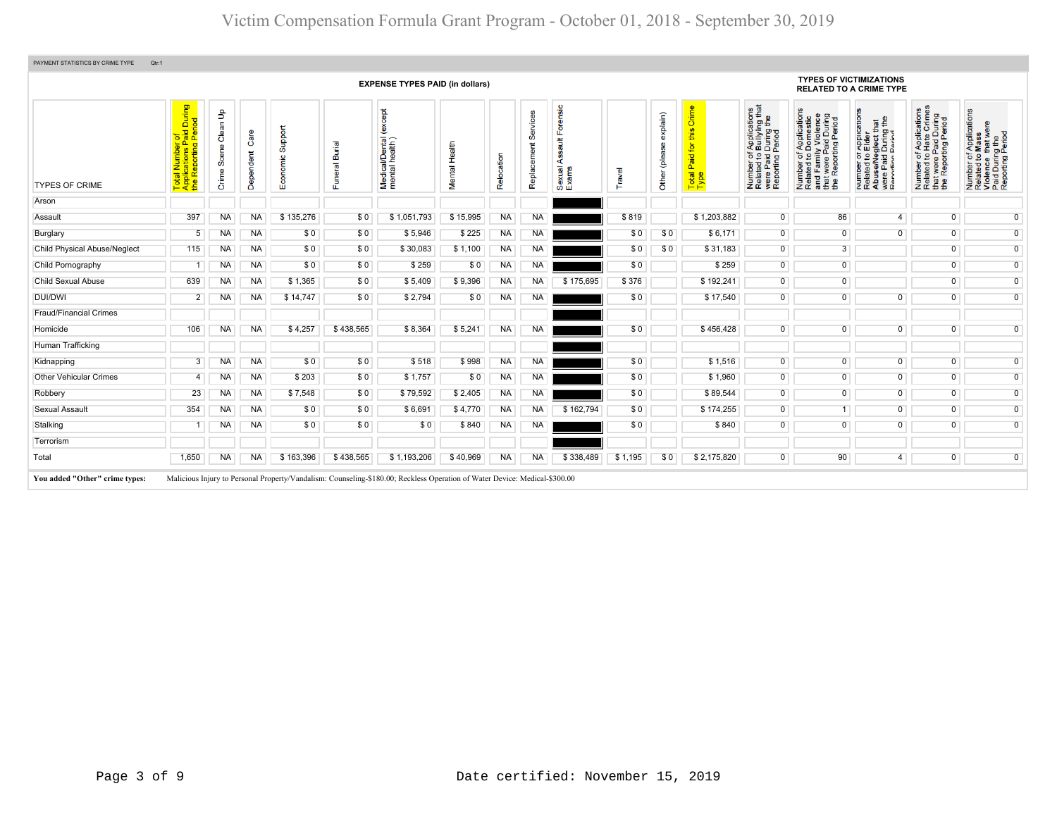|                                     |                                                                                 |                                         |                   |                         |                                 | <b>EXPENSE TYPES PAID (in dollars)</b>             |               |            |                         |                                                       |         |                           |                                            |                                                                                                                                                                        | <b>TYPES OF VICTIMIZATIONS</b><br><b>RELATED TO A CRIME TYPE</b>                                                                                         |                                                                                                                                                               |                                                                                                   |                                                                                                        |
|-------------------------------------|---------------------------------------------------------------------------------|-----------------------------------------|-------------------|-------------------------|---------------------------------|----------------------------------------------------|---------------|------------|-------------------------|-------------------------------------------------------|---------|---------------------------|--------------------------------------------|------------------------------------------------------------------------------------------------------------------------------------------------------------------------|----------------------------------------------------------------------------------------------------------------------------------------------------------|---------------------------------------------------------------------------------------------------------------------------------------------------------------|---------------------------------------------------------------------------------------------------|--------------------------------------------------------------------------------------------------------|
| <b>TYPES OF CRIME</b>               | of<br>Paid During<br>Period<br>$-0.5$<br><u>ಇ ಜ</u><br>Reporting<br><b>Pape</b> | $\mathbf{e}$<br>Clean<br>Scene<br>Crime | Care<br>Dependent | Support<br>conomic<br>ш | <b>Burial</b><br>eral<br>S<br>ш | except<br>i/Dental<br>health)<br>Medical<br>mental | Mental Health | Relocation | Services<br>Replacement | orensic<br>ш<br><b>Tius</b><br>∢<br>Sexual /<br>Exams | Travel  | explain)<br>Other (please | Crime<br>this<br>Paid for<br>Total<br>Type | f Applications<br>b Bullying that<br>I During the<br>Period<br>$\overline{5}$ $\overline{2}$ $\overline{2}$<br>were Paid<br>Reporting<br>Number<br>Related<br>were Pai | f Applications<br>Domestic<br>ly Violence<br>Paid During<br>ting Period<br>Number or<br>Related to Dom<br>The Family Violet<br>The Paid L<br>twere<br>Ē£ | TApplication:<br>b Elder<br>glect that<br>During the<br>Period<br>per of<br>ed to<br>Paid I<br>Paid I<br>Numper<br>Related<br>Abuse/N<br>were Pai<br>Reportin | Number of Applications<br>Related to Hate Crimes<br>that were Paid During<br>the Reporting Period | Number of Applications<br>Related to Mass<br>Violence that were<br>Paid During the<br>Reporting Period |
| Arson                               |                                                                                 |                                         |                   |                         |                                 |                                                    |               |            |                         |                                                       |         |                           |                                            |                                                                                                                                                                        |                                                                                                                                                          |                                                                                                                                                               |                                                                                                   |                                                                                                        |
| Assault                             | 397                                                                             | <b>NA</b>                               | <b>NA</b>         | \$135,276               | \$0                             | \$1,051,793                                        | \$15,995      | <b>NA</b>  | <b>NA</b>               |                                                       | \$819   |                           | \$1,203,882                                | $\overline{0}$                                                                                                                                                         | 86                                                                                                                                                       | $\overline{4}$                                                                                                                                                | $\overline{0}$                                                                                    | $\overline{0}$                                                                                         |
| Burglary                            | 5                                                                               | <b>NA</b>                               | <b>NA</b>         | \$0                     | \$0                             | \$5,946                                            | \$225         | <b>NA</b>  | <b>NA</b>               |                                                       | \$0     | \$0                       | \$6,171                                    | $\overline{0}$                                                                                                                                                         | $\overline{0}$                                                                                                                                           | $\overline{0}$                                                                                                                                                | $\overline{0}$                                                                                    | $\overline{0}$                                                                                         |
| <b>Child Physical Abuse/Neglect</b> | 115                                                                             | <b>NA</b>                               | NA                | \$0                     | \$0                             | \$30,083                                           | \$1,100       | <b>NA</b>  | <b>NA</b>               |                                                       | \$0     | \$0                       | \$31,183                                   | $\overline{0}$                                                                                                                                                         | $\overline{3}$                                                                                                                                           |                                                                                                                                                               | $\overline{0}$                                                                                    | 0                                                                                                      |
| Child Pornography                   |                                                                                 | <b>NA</b>                               | <b>NA</b>         | \$0                     | \$0                             | \$259                                              | \$0           | NA         | <b>NA</b>               |                                                       | \$0     |                           | \$259                                      | $\overline{0}$                                                                                                                                                         | $\overline{0}$                                                                                                                                           |                                                                                                                                                               | $\overline{0}$                                                                                    | $\overline{0}$                                                                                         |
| <b>Child Sexual Abuse</b>           | 639                                                                             | <b>NA</b>                               | NA                | \$1,365                 | \$0                             | \$5,409                                            | \$9,396       | <b>NA</b>  | <b>NA</b>               | \$175,695                                             | \$376   |                           | \$192,241                                  | $\overline{0}$                                                                                                                                                         | $\overline{0}$                                                                                                                                           |                                                                                                                                                               | $\overline{0}$                                                                                    | $\overline{0}$                                                                                         |
| DUI/DWI                             | $\overline{2}$                                                                  | <b>NA</b>                               | <b>NA</b>         | \$14,747                | \$0                             | \$2,794                                            | \$0           | NA         | <b>NA</b>               |                                                       | \$0     |                           | \$17,540                                   | $\overline{0}$                                                                                                                                                         | $\overline{0}$                                                                                                                                           | $\overline{0}$                                                                                                                                                | $\overline{0}$                                                                                    | $\overline{0}$                                                                                         |
| <b>Fraud/Financial Crimes</b>       |                                                                                 |                                         |                   |                         |                                 |                                                    |               |            |                         |                                                       |         |                           |                                            |                                                                                                                                                                        |                                                                                                                                                          |                                                                                                                                                               |                                                                                                   |                                                                                                        |
| Homicide                            | 106                                                                             | NA.                                     | <b>NA</b>         | \$4,257                 | \$438,565                       | \$8,364                                            | \$5,241       | <b>NA</b>  | <b>NA</b>               |                                                       | \$0     |                           | \$456,428                                  | $\overline{0}$                                                                                                                                                         | $\overline{0}$                                                                                                                                           | $\overline{0}$                                                                                                                                                | $\overline{0}$                                                                                    | $\overline{0}$                                                                                         |
| Human Trafficking                   |                                                                                 |                                         |                   |                         |                                 |                                                    |               |            |                         |                                                       |         |                           |                                            |                                                                                                                                                                        |                                                                                                                                                          |                                                                                                                                                               |                                                                                                   |                                                                                                        |
| Kidnapping                          | 3                                                                               | <b>NA</b>                               | NA                | \$0                     | \$0                             | \$518                                              | \$998         | NA         | <b>NA</b>               |                                                       | \$0     |                           | \$1,516                                    | $\overline{0}$                                                                                                                                                         | $\overline{0}$                                                                                                                                           | $\overline{0}$                                                                                                                                                | $\overline{0}$                                                                                    | $\overline{0}$                                                                                         |
| <b>Other Vehicular Crimes</b>       | 4                                                                               | <b>NA</b>                               | NA                | \$203                   | \$0                             | \$1,757                                            | \$0           | NA         | <b>NA</b>               |                                                       | \$0     |                           | \$1,960                                    | $\overline{0}$                                                                                                                                                         | $\overline{0}$                                                                                                                                           | $\overline{0}$                                                                                                                                                | $\overline{0}$                                                                                    | $\overline{0}$                                                                                         |
| Robbery                             | 23                                                                              | <b>NA</b>                               | <b>NA</b>         | \$7,548                 | \$0                             | \$79,592                                           | \$2,405       | <b>NA</b>  | <b>NA</b>               |                                                       | \$0     |                           | \$89,544                                   | $\overline{0}$                                                                                                                                                         | $\overline{0}$                                                                                                                                           | $\overline{0}$                                                                                                                                                | $\overline{0}$                                                                                    | $\overline{0}$                                                                                         |
| Sexual Assault                      | 354                                                                             | <b>NA</b>                               | <b>NA</b>         | \$0                     | \$0                             | \$6,691                                            | \$4,770       | <b>NA</b>  | <b>NA</b>               | \$162,794                                             | \$0     |                           | \$174,255                                  | $\overline{0}$                                                                                                                                                         |                                                                                                                                                          | $\overline{0}$                                                                                                                                                | $\overline{0}$                                                                                    | $\overline{0}$                                                                                         |
| Stalking                            |                                                                                 | NA                                      | <b>NA</b>         | \$0                     | \$0                             | \$0                                                | \$840         | <b>NA</b>  | <b>NA</b>               |                                                       | \$0     |                           | \$840                                      | $\mathbf{0}$                                                                                                                                                           | $\overline{0}$                                                                                                                                           | $\overline{0}$                                                                                                                                                | $\overline{0}$                                                                                    | $\overline{0}$                                                                                         |
| Terrorism                           |                                                                                 |                                         |                   |                         |                                 |                                                    |               |            |                         |                                                       |         |                           |                                            |                                                                                                                                                                        |                                                                                                                                                          |                                                                                                                                                               |                                                                                                   |                                                                                                        |
| Total                               | 1,650                                                                           | <b>NA</b>                               | <b>NA</b>         | \$163,396               | \$438,565                       | \$1,193,206                                        | \$40,969      | <b>NA</b>  | <b>NA</b>               | \$338,489                                             | \$1,195 | \$0                       | \$2,175,820                                | $\overline{0}$                                                                                                                                                         | 90 <sup>°</sup>                                                                                                                                          | 4                                                                                                                                                             | $\overline{0}$                                                                                    | $\overline{0}$                                                                                         |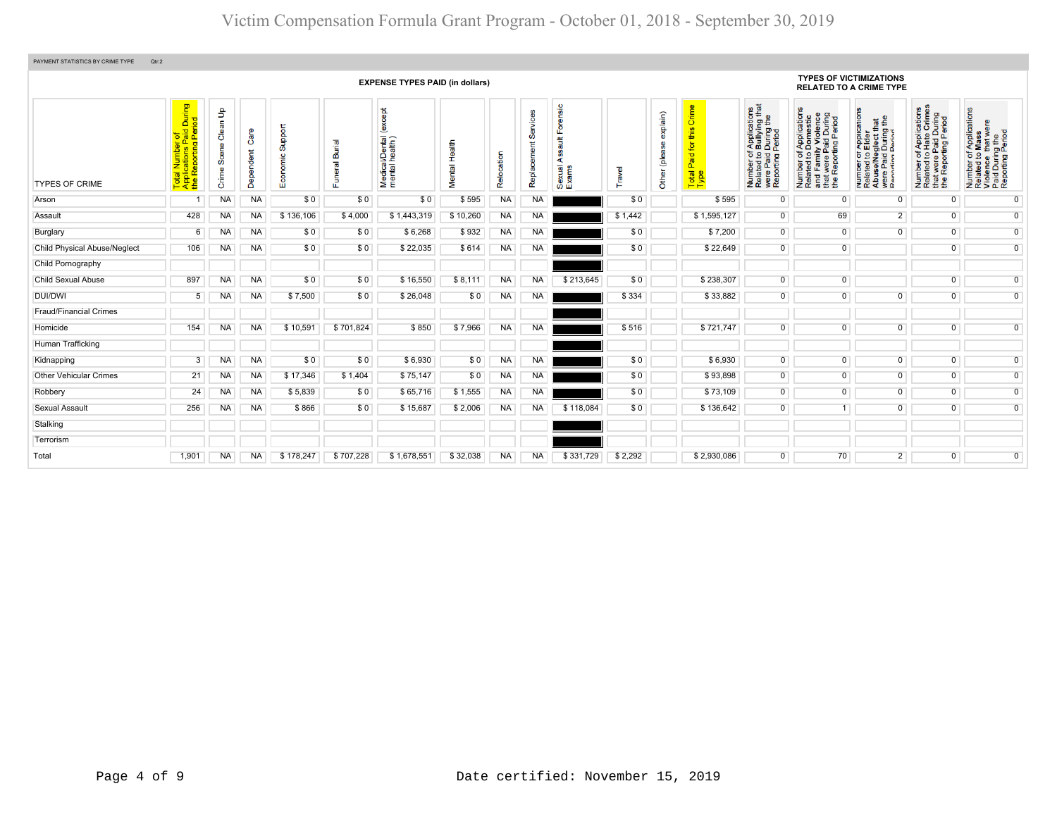| PAYMENT STATISTICS BY CRIME TYPE<br>Qtr:2 |                                                                                           |                                          |                   |                             |                              |                                            |               |            |           |                                                       |         |                              |                                                            |                                                                                                                                        |                                                                                                                                                              |                                                                                                                                                         |                                                                                                                                  |                                                                                                        |  |
|-------------------------------------------|-------------------------------------------------------------------------------------------|------------------------------------------|-------------------|-----------------------------|------------------------------|--------------------------------------------|---------------|------------|-----------|-------------------------------------------------------|---------|------------------------------|------------------------------------------------------------|----------------------------------------------------------------------------------------------------------------------------------------|--------------------------------------------------------------------------------------------------------------------------------------------------------------|---------------------------------------------------------------------------------------------------------------------------------------------------------|----------------------------------------------------------------------------------------------------------------------------------|--------------------------------------------------------------------------------------------------------|--|
|                                           |                                                                                           |                                          |                   |                             |                              | <b>EXPENSE TYPES PAID (in dollars)</b>     |               |            |           |                                                       |         |                              |                                                            |                                                                                                                                        | <b>TYPES OF VICTIMIZATIONS</b>                                                                                                                               | <b>RELATED TO A CRIME TYPE</b>                                                                                                                          |                                                                                                                                  |                                                                                                        |  |
| <b>TYPES OF CRIME</b>                     | l Number of<br>cations Paid During<br>teporting Period<br>Report<br>Tota<br>Appl<br>the F | $\frac{9}{2}$<br>Clean<br>Scene<br>Crime | Care<br>Dependent | Support<br>nomic<br>8<br>шī | <b>Burial</b><br>uneral<br>Æ | except<br>Medical/Dental<br>mental health) | Mental Health | Relocation |           | orensic<br>ш<br>$\frac{4}{3}$<br>∢<br>Sexual<br>Exams | ravel   | explain)<br>8<br>Other (plea | Crime<br>this<br>for<br>Paid <sub>1</sub><br>Total<br>Type | f Applications<br>b Bullying that<br>I During the<br>Period<br>Number of <i>I</i><br>Related to <b>E</b><br>were Paid L<br>Reporting P | of Applications<br>o Domestic<br>ily Violence<br>Paid During<br>rting Period<br><b>A</b><br>Number o,<br>Related to Du<br>Yud Family \<br>Yuere Pa<br>Yortin | TApplications<br>b Elder<br>sglect that<br>During the<br>Period<br>Number of <i>I</i><br>Related to <b>I</b><br>Abuse/Neg<br>were Paid I<br>Reporting P | FApplications<br>Hate Crimes<br>it were Paid During<br>Peporting Period<br>$\frac{1}{6}$<br>Number<br>Related t<br>$\frac{1}{2}$ | Number of Applications<br>Related to Mass<br>Violence that were<br>Paid During the<br>Reporting Period |  |
| Arson                                     |                                                                                           | <b>NA</b>                                | NA                | \$0                         | \$0                          | \$0                                        | \$595         | <b>NA</b>  | <b>NA</b> |                                                       | \$0     |                              | \$595                                                      | $\overline{0}$                                                                                                                         | $\mathbf 0$                                                                                                                                                  | $\mathbf 0$                                                                                                                                             | $\mathbf 0$                                                                                                                      | $\mathbf{0}$                                                                                           |  |
| Assault                                   | 428                                                                                       | <b>NA</b>                                | <b>NA</b>         | \$136,106                   | \$4,000                      | \$1,443,319                                | \$10,260      | <b>NA</b>  | <b>NA</b> |                                                       | \$1,442 |                              | \$1,595,127                                                | $\overline{0}$                                                                                                                         | 69                                                                                                                                                           | $\overline{2}$                                                                                                                                          | $\mathbf 0$                                                                                                                      | $\overline{0}$                                                                                         |  |
| Burglary                                  | 6                                                                                         | <b>NA</b>                                | <b>NA</b>         | \$0                         | \$0                          | \$6,268                                    | \$932         | <b>NA</b>  | <b>NA</b> |                                                       | \$0     |                              | \$7,200                                                    | $\overline{0}$                                                                                                                         | $\overline{0}$                                                                                                                                               | $\overline{0}$                                                                                                                                          | $\overline{0}$                                                                                                                   | $\overline{0}$                                                                                         |  |
| <b>Child Physical Abuse/Neglect</b>       | 106                                                                                       | <b>NA</b>                                | <b>NA</b>         | \$0                         | \$0                          | \$22,035                                   | \$614         | <b>NA</b>  | <b>NA</b> |                                                       | \$0     |                              | \$22,649                                                   | $\overline{0}$                                                                                                                         | $\overline{0}$                                                                                                                                               |                                                                                                                                                         | $\overline{0}$                                                                                                                   | $\overline{0}$                                                                                         |  |
| Child Pornography                         |                                                                                           |                                          |                   |                             |                              |                                            |               |            |           |                                                       |         |                              |                                                            |                                                                                                                                        |                                                                                                                                                              |                                                                                                                                                         |                                                                                                                                  |                                                                                                        |  |
| Child Sexual Abuse                        | 897                                                                                       | <b>NA</b>                                | <b>NA</b>         | \$0                         | \$0                          | \$16,550                                   | \$8,111       | <b>NA</b>  | <b>NA</b> | \$213,645                                             | \$0     |                              | \$238,307                                                  | $\overline{0}$                                                                                                                         | $\overline{0}$                                                                                                                                               |                                                                                                                                                         | $\mathbf 0$                                                                                                                      | $\overline{0}$                                                                                         |  |
| DUI/DWI                                   | 5                                                                                         | NA                                       | <b>NA</b>         | \$7,500                     | \$0                          | \$26,048                                   | \$0           | NA         | <b>NA</b> |                                                       | \$334   |                              | \$33,882                                                   | $\overline{0}$                                                                                                                         | $\overline{0}$                                                                                                                                               | $\overline{0}$                                                                                                                                          | $\mathbf 0$                                                                                                                      | $\overline{0}$                                                                                         |  |
| <b>Fraud/Financial Crimes</b>             |                                                                                           |                                          |                   |                             |                              |                                            |               |            |           |                                                       |         |                              |                                                            |                                                                                                                                        |                                                                                                                                                              |                                                                                                                                                         |                                                                                                                                  |                                                                                                        |  |
| Homicide                                  | 154                                                                                       | <b>NA</b>                                | <b>NA</b>         | \$10,591                    | \$701,824                    | \$850                                      | \$7,966       | <b>NA</b>  | <b>NA</b> |                                                       | \$516   |                              | \$721,747                                                  | $\overline{0}$                                                                                                                         | $\overline{0}$                                                                                                                                               | $\overline{0}$                                                                                                                                          | $\overline{0}$                                                                                                                   | $\overline{0}$                                                                                         |  |
| Human Trafficking                         |                                                                                           |                                          |                   |                             |                              |                                            |               |            |           |                                                       |         |                              |                                                            |                                                                                                                                        |                                                                                                                                                              |                                                                                                                                                         |                                                                                                                                  |                                                                                                        |  |
| Kidnapping                                | 3                                                                                         | NA.                                      | <b>NA</b>         | \$0                         | \$0                          | \$6,930                                    | \$0           | <b>NA</b>  | <b>NA</b> |                                                       | \$0     |                              | \$6,930                                                    | $\overline{0}$                                                                                                                         | $\overline{0}$                                                                                                                                               | $\overline{0}$                                                                                                                                          | $\overline{0}$                                                                                                                   | $\overline{0}$                                                                                         |  |
| <b>Other Vehicular Crimes</b>             | 21                                                                                        | <b>NA</b>                                | NA                | \$17,346                    | \$1,404                      | \$75,147                                   | \$0           | NA         | <b>NA</b> |                                                       | \$0     |                              | \$93,898                                                   | $\overline{0}$                                                                                                                         | $\overline{0}$                                                                                                                                               | $\overline{0}$                                                                                                                                          | $\overline{0}$                                                                                                                   | $\overline{0}$                                                                                         |  |
| Robbery                                   | 24                                                                                        | <b>NA</b>                                | NA                | \$5,839                     | \$0                          | \$65,716                                   | \$1,555       | <b>NA</b>  | <b>NA</b> |                                                       | \$0     |                              | \$73,109                                                   | $\overline{0}$                                                                                                                         | $\overline{0}$                                                                                                                                               | $\mathbf{0}$                                                                                                                                            | $\mathbf{0}$                                                                                                                     | $\overline{0}$                                                                                         |  |
| Sexual Assault                            | 256                                                                                       | <b>NA</b>                                | <b>NA</b>         | \$866                       | \$0                          | \$15,687                                   | \$2,006       | <b>NA</b>  | <b>NA</b> | \$118,084                                             | \$0     |                              | \$136,642                                                  | $\overline{0}$                                                                                                                         | -1                                                                                                                                                           | $\overline{0}$                                                                                                                                          | $\mathbf{0}$                                                                                                                     | $\overline{0}$                                                                                         |  |
| Stalking                                  |                                                                                           |                                          |                   |                             |                              |                                            |               |            |           |                                                       |         |                              |                                                            |                                                                                                                                        |                                                                                                                                                              |                                                                                                                                                         |                                                                                                                                  |                                                                                                        |  |
| Terrorism                                 |                                                                                           |                                          |                   |                             |                              |                                            |               |            |           |                                                       |         |                              |                                                            |                                                                                                                                        |                                                                                                                                                              |                                                                                                                                                         |                                                                                                                                  |                                                                                                        |  |
| Total                                     | 1,901                                                                                     | <b>NA</b>                                | <b>NA</b>         | \$178,247                   | \$707,228                    | \$1.678.551                                | \$32,038      | <b>NA</b>  | <b>NA</b> | \$331,729                                             | \$2,292 |                              | \$2,930,086                                                | $\overline{0}$                                                                                                                         | 70                                                                                                                                                           | $\overline{2}$                                                                                                                                          | $\overline{0}$                                                                                                                   | $\overline{0}$                                                                                         |  |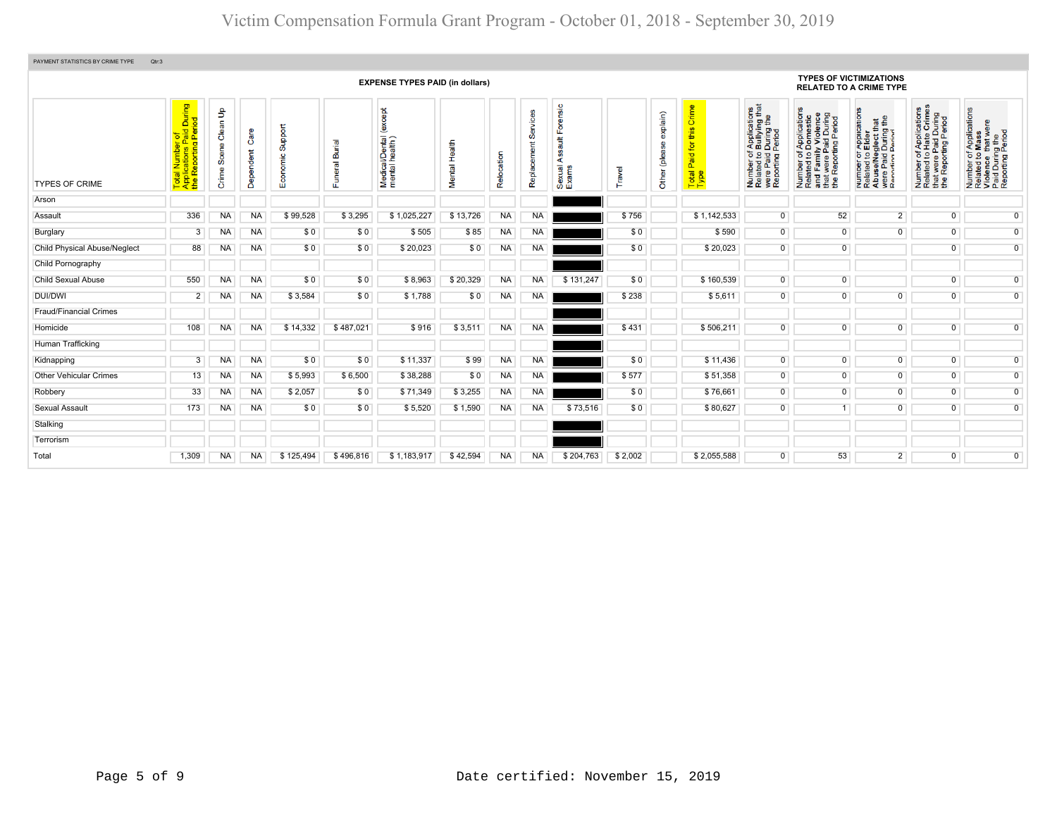| PAYMENT STATISTICS BY CRIME TYPE    | Qtr:3                                                                                                      |                                          |                   |                        |                              |                                          |               |            |                         |                                                 |         |                           |                                         |                                                                                                                                 |                                                                                                                       |                                                                                                                                                                                            |                                                                                                                      |                                                                                                        |
|-------------------------------------|------------------------------------------------------------------------------------------------------------|------------------------------------------|-------------------|------------------------|------------------------------|------------------------------------------|---------------|------------|-------------------------|-------------------------------------------------|---------|---------------------------|-----------------------------------------|---------------------------------------------------------------------------------------------------------------------------------|-----------------------------------------------------------------------------------------------------------------------|--------------------------------------------------------------------------------------------------------------------------------------------------------------------------------------------|----------------------------------------------------------------------------------------------------------------------|--------------------------------------------------------------------------------------------------------|
|                                     | <b>TYPES OF VICTIMIZATIONS</b><br><b>EXPENSE TYPES PAID (in dollars)</b><br><b>RELATED TO A CRIME TYPE</b> |                                          |                   |                        |                              |                                          |               |            |                         |                                                 |         |                           |                                         |                                                                                                                                 |                                                                                                                       |                                                                                                                                                                                            |                                                                                                                      |                                                                                                        |
| <b>TYPES OF CRIME</b>               | During<br>iod<br>al Number of<br>plications Paid I<br>Reporting Perio<br>Tota<br>Appl<br>the F             | $\mathbf{e}$<br>Clean<br>Scene<br>Crime: | Care<br>Dependent | Support<br>nomic<br>Eo | <b>Burial</b><br>uneral<br>ш | Medical/Dental (except<br>mental health) | Mental Health | Relocation | Services<br>Replacement | Forensic<br><b>Tius</b><br>∢<br>Sexual<br>Exams | Travel  | exp(ain)<br>Other (please | this Crime<br>Paid for<br>Total<br>Type | f Applications<br>b Bullying that<br>I During the<br>Period<br>Number of /<br>Related to <b>E</b><br>were Paid L<br>Reporting P | Number of Applications<br>Related to Domestic<br>and Family Violence<br>that were Paid During<br>the Reporting Period | T Applications<br><b>S</b> Elder<br>sglect that<br>During the<br>Pariod<br>Der of<br>ted to<br><b>Paid I</b><br>Paid I<br>Pain F<br>Number<br>Related t<br>Abuse/N<br>were Pai<br>Renortin | Applications<br>Hate Crimes<br>were Paid During<br>Reporting Period<br>$\frac{1}{2}$<br>Number<br>Related t<br>the L | Number of Applications<br>Related to Mass<br>Violence that were<br>Paid During the<br>Reporting Period |
| Arson                               |                                                                                                            |                                          |                   |                        |                              |                                          |               |            |                         |                                                 |         |                           |                                         |                                                                                                                                 |                                                                                                                       |                                                                                                                                                                                            |                                                                                                                      |                                                                                                        |
| Assault                             | 336                                                                                                        | <b>NA</b>                                | <b>NA</b>         | \$99,528               | \$3,295                      | \$1,025,227                              | \$13,726      | <b>NA</b>  | <b>NA</b>               |                                                 | \$756   |                           | \$1,142,533                             | $\overline{0}$                                                                                                                  | 52                                                                                                                    | $\overline{2}$                                                                                                                                                                             | $\overline{0}$                                                                                                       | $\overline{0}$                                                                                         |
| Burglary                            | 3                                                                                                          | <b>NA</b>                                | <b>NA</b>         | \$0                    | \$0                          | \$505                                    | \$85          | <b>NA</b>  | <b>NA</b>               |                                                 | \$0     |                           | \$590                                   | $\overline{0}$                                                                                                                  | $\overline{0}$                                                                                                        | $\overline{0}$                                                                                                                                                                             | $\overline{0}$                                                                                                       | $\overline{0}$                                                                                         |
| <b>Child Physical Abuse/Neglect</b> | 88                                                                                                         | <b>NA</b>                                | NA                | \$0                    | \$0                          | \$20,023                                 | \$0           | <b>NA</b>  | <b>NA</b>               |                                                 | \$0     |                           | \$20,023                                | $\overline{0}$                                                                                                                  | $\overline{0}$                                                                                                        |                                                                                                                                                                                            | $\overline{0}$                                                                                                       | $\overline{0}$                                                                                         |
| Child Pornography                   |                                                                                                            |                                          |                   |                        |                              |                                          |               |            |                         |                                                 |         |                           |                                         |                                                                                                                                 |                                                                                                                       |                                                                                                                                                                                            |                                                                                                                      |                                                                                                        |
| <b>Child Sexual Abuse</b>           | 550                                                                                                        | <b>NA</b>                                | <b>NA</b>         | \$0                    | \$0                          | \$8,963                                  | \$20,329      | <b>NA</b>  | <b>NA</b>               | \$131,247                                       | \$0     |                           | \$160,539                               | $\overline{0}$                                                                                                                  | $\overline{0}$                                                                                                        |                                                                                                                                                                                            | $\overline{0}$                                                                                                       | $\overline{0}$                                                                                         |
| DUI/DWI                             | $\overline{2}$                                                                                             | <b>NA</b>                                | NA                | \$3,584                | \$0                          | \$1,788                                  | \$0           | <b>NA</b>  | <b>NA</b>               |                                                 | \$238   |                           | \$5,611                                 | $\overline{0}$                                                                                                                  | $\overline{0}$                                                                                                        | $\overline{0}$                                                                                                                                                                             | $\overline{0}$                                                                                                       | $\overline{0}$                                                                                         |
| <b>Fraud/Financial Crimes</b>       |                                                                                                            |                                          |                   |                        |                              |                                          |               |            |                         |                                                 |         |                           |                                         |                                                                                                                                 |                                                                                                                       |                                                                                                                                                                                            |                                                                                                                      |                                                                                                        |
| Homicide                            | 108                                                                                                        | <b>NA</b>                                | <b>NA</b>         | \$14,332               | \$487,021                    | \$916                                    | \$3,511       | <b>NA</b>  | <b>NA</b>               |                                                 | \$431   |                           | \$506,211                               | $\overline{0}$                                                                                                                  | $\overline{0}$                                                                                                        | $\overline{0}$                                                                                                                                                                             | $\overline{0}$                                                                                                       | $\overline{0}$                                                                                         |
| Human Trafficking                   |                                                                                                            |                                          |                   |                        |                              |                                          |               |            |                         |                                                 |         |                           |                                         |                                                                                                                                 |                                                                                                                       |                                                                                                                                                                                            |                                                                                                                      |                                                                                                        |
| Kidnapping                          | 3                                                                                                          | <b>NA</b>                                | NA                | \$0                    | \$0                          | \$11,337                                 | \$99          | <b>NA</b>  | <b>NA</b>               |                                                 | \$0     |                           | \$11.436                                | $\overline{0}$                                                                                                                  | $\overline{0}$                                                                                                        | $\overline{0}$                                                                                                                                                                             | $\overline{0}$                                                                                                       | $\overline{0}$                                                                                         |
| <b>Other Vehicular Crimes</b>       | 13                                                                                                         | <b>NA</b>                                | NA                | \$5,993                | \$6,500                      | \$38,288                                 | \$0           | <b>NA</b>  | <b>NA</b>               |                                                 | \$577   |                           | \$51,358                                | $\overline{0}$                                                                                                                  | $\overline{0}$                                                                                                        | $\overline{0}$                                                                                                                                                                             | $\overline{0}$                                                                                                       | $\overline{0}$                                                                                         |
| Robbery                             | 33                                                                                                         | <b>NA</b>                                | NA                | \$2,057                | \$0                          | \$71,349                                 | \$3,255       | <b>NA</b>  | <b>NA</b>               |                                                 | \$0     |                           | \$76,661                                | $\overline{0}$                                                                                                                  | $\overline{0}$                                                                                                        | $\overline{0}$                                                                                                                                                                             | $\overline{0}$                                                                                                       | $\overline{0}$                                                                                         |
| Sexual Assault                      | 173                                                                                                        | <b>NA</b>                                | <b>NA</b>         | \$0                    | \$0                          | \$5,520                                  | \$1,590       | <b>NA</b>  | <b>NA</b>               | \$73,516                                        | \$0     |                           | \$80,627                                | $\overline{0}$                                                                                                                  |                                                                                                                       | $\overline{0}$                                                                                                                                                                             | $\overline{0}$                                                                                                       | $\overline{0}$                                                                                         |
| Stalking                            |                                                                                                            |                                          |                   |                        |                              |                                          |               |            |                         |                                                 |         |                           |                                         |                                                                                                                                 |                                                                                                                       |                                                                                                                                                                                            |                                                                                                                      |                                                                                                        |
| Terrorism                           |                                                                                                            |                                          |                   |                        |                              |                                          |               |            |                         |                                                 |         |                           |                                         |                                                                                                                                 |                                                                                                                       |                                                                                                                                                                                            |                                                                                                                      |                                                                                                        |
| Total                               | 1,309                                                                                                      | <b>NA</b>                                | <b>NA</b>         | \$125,494              | \$496,816                    | \$1,183,917                              | \$42,594      | <b>NA</b>  | <b>NA</b>               | \$204,763                                       | \$2,002 |                           | \$2,055,588                             | $\overline{0}$                                                                                                                  | 53                                                                                                                    | $\overline{2}$                                                                                                                                                                             | $\overline{0}$                                                                                                       | $\overline{0}$                                                                                         |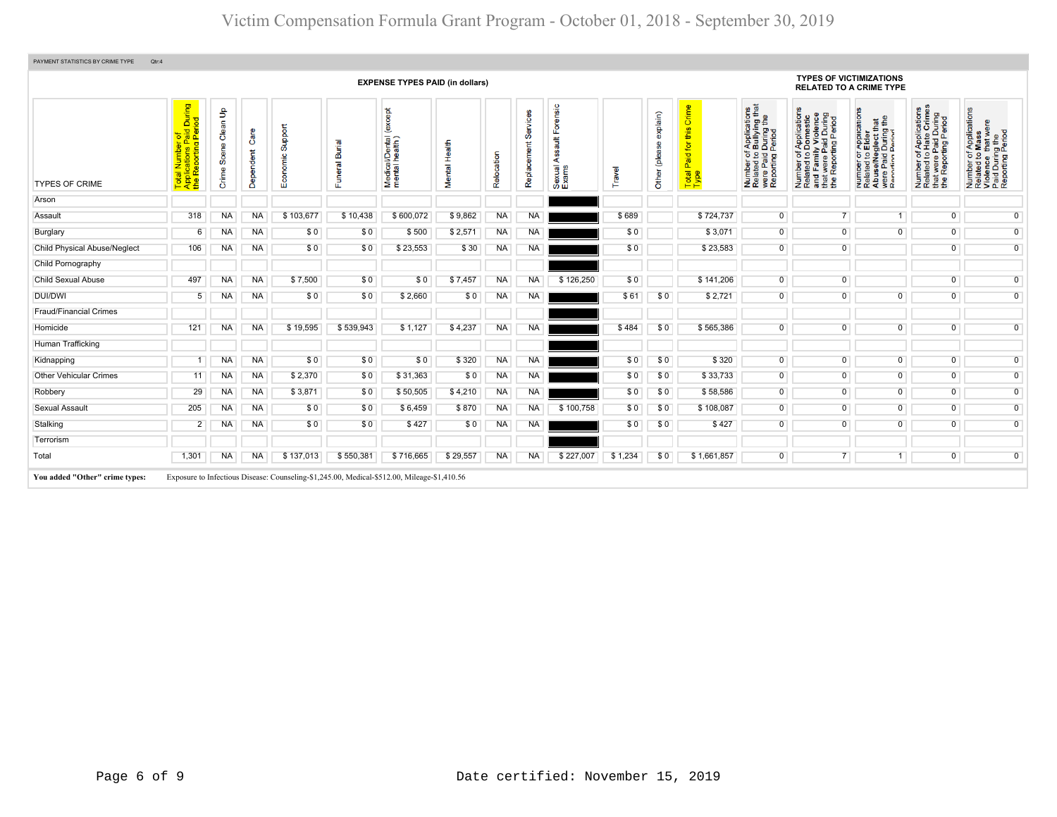|                               |                                                                              |                                          |                   |                     |                                 | <b>EXPENSE TYPES PAID (in dollars)</b>       |                  |            |                  |                                                        |         |                              |                                                        |                                                                                                                                                      | <b>TYPES OF VICTIMIZATIONS</b><br><b>RELATED TO A CRIME TYPE</b>                                                                                             |                                                                                                                                                                         |                                                                                                   |                                                                                                        |
|-------------------------------|------------------------------------------------------------------------------|------------------------------------------|-------------------|---------------------|---------------------------------|----------------------------------------------|------------------|------------|------------------|--------------------------------------------------------|---------|------------------------------|--------------------------------------------------------|------------------------------------------------------------------------------------------------------------------------------------------------------|--------------------------------------------------------------------------------------------------------------------------------------------------------------|-------------------------------------------------------------------------------------------------------------------------------------------------------------------------|---------------------------------------------------------------------------------------------------|--------------------------------------------------------------------------------------------------------|
| <b>TYPES OF CRIME</b>         | tal Number of<br>plications Paid During<br>∍ Reporting Period<br><b>Pape</b> | $\frac{9}{2}$<br>Clean<br>Scene<br>Crime | Care<br>Dependent | Support<br>Economic | <u>iej</u><br>മ്<br><b>Trai</b> | except<br>Medical/Dental (<br>mental health) | Health<br>Mental | Relocation | Ø<br>Replacement | Forensic<br>$\frac{4}{10}$<br>⋖<br>exual<br>xams<br>மய | Travel  | explain)<br>(please<br>Other | Crime<br>$\omega$<br>Ξ<br>for<br>Paid<br>Total<br>Type | f Applications<br>b Bullying that<br>I During the<br>Period<br>ber of<br>led to I<br>Paid I<br>pring F<br>Number<br>Related<br>were Pai<br>Reporting | f Applications<br>Domestic<br>ly Violence<br>1 During<br>Period<br>Number of Appl<br>Related to Dom<br>and Family Vio<br>that were Paid I<br>the Reporting P | ications<br><b>¤∄</b><br>≞<br>During 1<br>Pariod<br><b>Appli</b><br>Elder<br>59<br>e/Ne<br>Paid<br><del>rin</del> n<br>mper<br>lated<br>Numt<br>Relate<br>Abus<br>Renoi | Number of Applications<br>Related to Hate Crimes<br>that were Paid During<br>the Reporting Period | Number of Applications<br>Related to Mass<br>Violence that were<br>Paid During the<br>Reporting Period |
| Arson                         |                                                                              |                                          |                   |                     |                                 |                                              |                  |            |                  |                                                        |         |                              |                                                        |                                                                                                                                                      |                                                                                                                                                              |                                                                                                                                                                         |                                                                                                   |                                                                                                        |
| Assault                       | 318                                                                          | <b>NA</b>                                | <b>NA</b>         | \$103,677           | \$10,438                        | \$600,072                                    | \$9,862          | <b>NA</b>  | <b>NA</b>        |                                                        | \$689   |                              | \$724,737                                              | $\overline{0}$                                                                                                                                       | 7 <sup>1</sup>                                                                                                                                               | $\overline{1}$                                                                                                                                                          | $\overline{0}$                                                                                    | $\overline{0}$                                                                                         |
| Burglary                      | 6                                                                            | <b>NA</b>                                | <b>NA</b>         | \$0                 | \$0                             | \$500                                        | \$2,571          | <b>NA</b>  | <b>NA</b>        |                                                        | \$0     |                              | \$3,071                                                | $\overline{0}$                                                                                                                                       | $\overline{0}$                                                                                                                                               | $\overline{0}$                                                                                                                                                          | $\overline{0}$                                                                                    | $\overline{0}$                                                                                         |
| Child Physical Abuse/Neglect  | 106                                                                          | <b>NA</b>                                | <b>NA</b>         | \$0                 | \$0                             | \$23,553                                     | \$30             | <b>NA</b>  | <b>NA</b>        |                                                        | \$0     |                              | \$23,583                                               | $\overline{0}$                                                                                                                                       | $\overline{0}$                                                                                                                                               |                                                                                                                                                                         | $\overline{0}$                                                                                    | $\overline{0}$                                                                                         |
| Child Pornography             |                                                                              |                                          |                   |                     |                                 |                                              |                  |            |                  |                                                        |         |                              |                                                        |                                                                                                                                                      |                                                                                                                                                              |                                                                                                                                                                         |                                                                                                   |                                                                                                        |
| <b>Child Sexual Abuse</b>     | 497                                                                          | NA                                       | <b>NA</b>         | \$7,500             | \$0                             | \$0                                          | \$7,457          | <b>NA</b>  | <b>NA</b>        | \$126,250                                              | \$0     |                              | \$141,206                                              | $\overline{0}$                                                                                                                                       | $\overline{0}$                                                                                                                                               |                                                                                                                                                                         | $\overline{0}$                                                                                    | $\overline{0}$                                                                                         |
| DUI/DWI                       | 5                                                                            | ΝA                                       | <b>NA</b>         | \$0                 | \$0                             | \$2,660                                      | \$0              | <b>NA</b>  | <b>NA</b>        |                                                        | \$61    | \$0                          | \$2,721                                                | $\overline{0}$                                                                                                                                       | $\overline{0}$                                                                                                                                               | $\overline{0}$                                                                                                                                                          | $\overline{0}$                                                                                    | $\overline{0}$                                                                                         |
| <b>Fraud/Financial Crimes</b> |                                                                              |                                          |                   |                     |                                 |                                              |                  |            |                  |                                                        |         |                              |                                                        |                                                                                                                                                      |                                                                                                                                                              |                                                                                                                                                                         |                                                                                                   |                                                                                                        |
| Homicide                      | 121                                                                          | ΝA                                       | <b>NA</b>         | \$19,595            | \$539,943                       | \$1,127                                      | \$4,237          | <b>NA</b>  | <b>NA</b>        |                                                        | \$484   | \$0                          | \$565,386                                              | $\overline{0}$                                                                                                                                       | $\overline{0}$                                                                                                                                               | $\overline{0}$                                                                                                                                                          | $\overline{0}$                                                                                    | $\overline{0}$                                                                                         |
| Human Trafficking             |                                                                              |                                          |                   |                     |                                 |                                              |                  |            |                  |                                                        |         |                              |                                                        |                                                                                                                                                      |                                                                                                                                                              |                                                                                                                                                                         |                                                                                                   |                                                                                                        |
| Kidnapping                    |                                                                              | <b>NA</b>                                | <b>NA</b>         | \$0                 | \$0                             | \$0                                          | \$320            | <b>NA</b>  | <b>NA</b>        |                                                        | \$0     | \$0                          | \$320                                                  | $\overline{0}$                                                                                                                                       | $\overline{0}$                                                                                                                                               | $\overline{0}$                                                                                                                                                          | $\mathbf{0}$                                                                                      | $\overline{0}$                                                                                         |
| <b>Other Vehicular Crimes</b> | 11                                                                           | <b>NA</b>                                | <b>NA</b>         | \$2,370             | \$0                             | \$31,363                                     | \$0              | <b>NA</b>  | <b>NA</b>        |                                                        | \$0     | \$0                          | \$33,733                                               | $\overline{0}$                                                                                                                                       | $\overline{0}$                                                                                                                                               | $\overline{0}$                                                                                                                                                          | $\overline{0}$                                                                                    | $\overline{0}$                                                                                         |
| Robbery                       | 29                                                                           | <b>NA</b>                                | <b>NA</b>         | \$3,871             | \$0                             | \$50,505                                     | \$4,210          | <b>NA</b>  | <b>NA</b>        |                                                        | \$0     | \$0                          | \$58,586                                               | $\overline{0}$                                                                                                                                       | $\overline{0}$                                                                                                                                               | $\overline{0}$                                                                                                                                                          | $\overline{0}$                                                                                    | $\overline{0}$                                                                                         |
| Sexual Assault                | 205                                                                          | <b>NA</b>                                | <b>NA</b>         | \$0                 | \$0                             | \$6,459                                      | \$870            | <b>NA</b>  | <b>NA</b>        | \$100,758                                              | \$0     | \$0                          | \$108,087                                              | $\overline{0}$                                                                                                                                       | $\overline{0}$                                                                                                                                               | $\overline{0}$                                                                                                                                                          | $\overline{0}$                                                                                    | $\overline{0}$                                                                                         |
| Stalking                      | $\overline{2}$                                                               | ΝA                                       | <b>NA</b>         | \$0                 | \$0                             | \$427                                        | \$0              | <b>NA</b>  | <b>NA</b>        |                                                        | \$0     | \$0                          | \$427                                                  | $\overline{0}$                                                                                                                                       | $\overline{0}$                                                                                                                                               | $\overline{0}$                                                                                                                                                          | $\mathbf 0$                                                                                       | $\overline{0}$                                                                                         |
| Terrorism                     |                                                                              |                                          |                   |                     |                                 |                                              |                  |            |                  |                                                        |         |                              |                                                        |                                                                                                                                                      |                                                                                                                                                              |                                                                                                                                                                         |                                                                                                   |                                                                                                        |
| Total                         | 1,301                                                                        | <b>NA</b>                                | <b>NA</b>         | \$137,013           | \$550,381                       | \$716,665                                    | \$29,557         | <b>NA</b>  | <b>NA</b>        | \$227,007                                              | \$1,234 | \$0                          | \$1,661,857                                            | $\overline{0}$                                                                                                                                       | 7 <sup>1</sup>                                                                                                                                               | $\overline{1}$                                                                                                                                                          | $\overline{0}$                                                                                    | $\overline{0}$                                                                                         |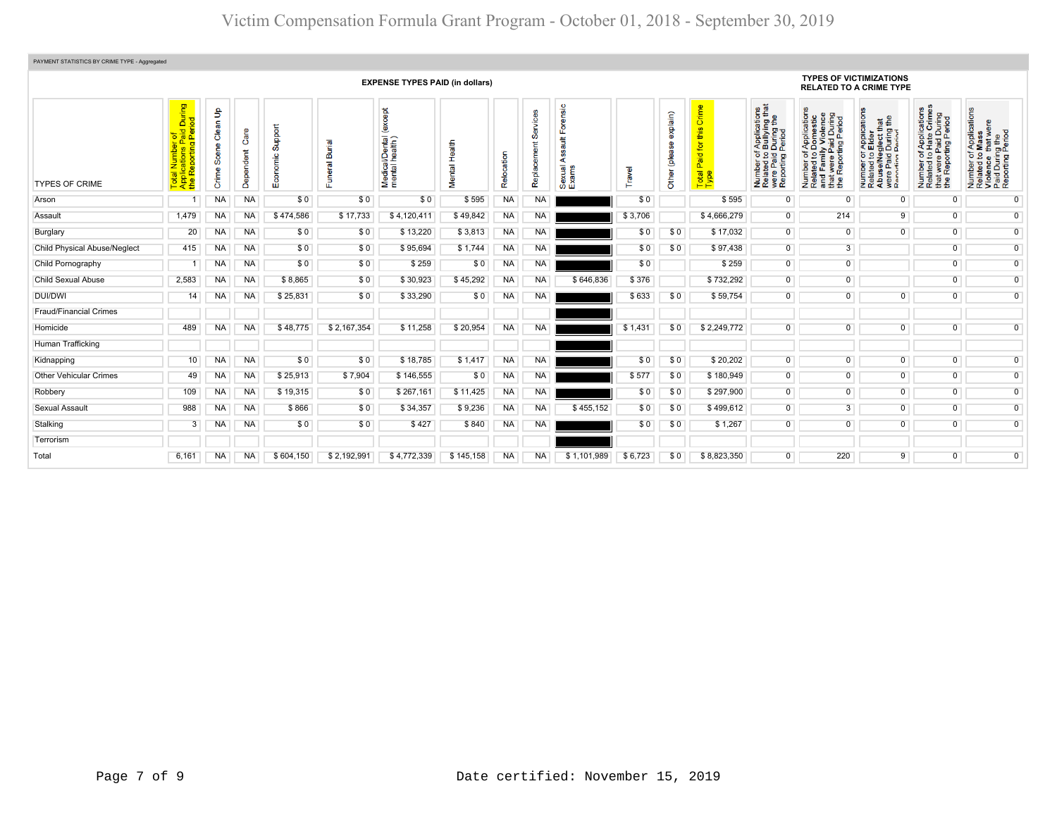| PAYMENT STATISTICS BY CRIME TYPE - Aggregated |                                                                    |                               |                   |                     |                       |                                                                |               |            |           |                                   |         |                              |                                            |                                                                                                                                  |                                                                                                                                                          |                                                                                                                                                        |                                                                                                   |                                                                                                                                            |
|-----------------------------------------------|--------------------------------------------------------------------|-------------------------------|-------------------|---------------------|-----------------------|----------------------------------------------------------------|---------------|------------|-----------|-----------------------------------|---------|------------------------------|--------------------------------------------|----------------------------------------------------------------------------------------------------------------------------------|----------------------------------------------------------------------------------------------------------------------------------------------------------|--------------------------------------------------------------------------------------------------------------------------------------------------------|---------------------------------------------------------------------------------------------------|--------------------------------------------------------------------------------------------------------------------------------------------|
|                                               | <b>EXPENSE TYPES PAID (in dollars)</b>                             |                               |                   |                     |                       |                                                                |               |            |           |                                   |         |                              |                                            | <b>TYPES OF VICTIMIZATIONS</b><br><b>RELATED TO A CRIME TYPE</b>                                                                 |                                                                                                                                                          |                                                                                                                                                        |                                                                                                   |                                                                                                                                            |
| <b>TYPES OF CRIME</b>                         | During<br>iod<br>paid<br>Peri<br>ting<br>Report<br>ಕ<br>Ape<br>the | နှ<br>Clean<br>Scene<br>Crime | Care<br>Dependent | Support<br>Economic | Burial<br>uneral<br>ш | <b>bept</b><br>ě<br>i/Dental<br>health)<br>Medical<br>mental l | Mental Health | Relocation | Ō<br>Repl | orensic<br>بيو<br>Sexual<br>Exams | ravel   | explain)<br>(please<br>Other | Crime<br>this<br>Paid for<br>Total<br>Type | ications<br>/ing that<br>g the<br>During<br>Period<br>Applic<br>Bullyi<br>តូ ខ ទី<br>were Paig<br>Reporting<br>Number<br>Related | of Applications<br>o Domestic<br>ily Violence<br>Paid During<br>rting Period<br>Ⴆ<br>$\mathbf{e}$<br>Number of<br>Related to<br>and Famil<br>twere<br>Ϊe | ration<br>that<br>g the<br>Paplica<br>Elder<br>glect th<br>During<br>Period<br>한 모 호 프<br>Number<br>Related<br>Abuse/N<br>were Pai<br>$\bullet$<br>g a | Number of Applications<br>Related to Hate Crimes<br>that were Paid During<br>the Reporting Period | f Applications<br>Mass<br>$\Phi$<br>Number of Applicati<br>Related to Mass<br>Violence that were<br>Paid During Period<br>Reporting Period |
| Arson                                         |                                                                    | <b>NA</b>                     | <b>NA</b>         | \$0                 | \$0                   | \$0                                                            | \$595         | <b>NA</b>  | <b>NA</b> |                                   | \$0     |                              | \$595                                      | $\mathbf 0$                                                                                                                      | $\Omega$                                                                                                                                                 | $\overline{0}$                                                                                                                                         | $\overline{0}$                                                                                    | $\overline{0}$                                                                                                                             |
| Assault                                       | 1,479                                                              | <b>NA</b>                     | <b>NA</b>         | \$474,586           | \$17,733              | \$4,120,411                                                    | \$49,842      | <b>NA</b>  | <b>NA</b> |                                   | \$3,706 |                              | \$4,666,279                                | $\overline{0}$                                                                                                                   | 214                                                                                                                                                      | 9                                                                                                                                                      | $\overline{0}$                                                                                    | $\overline{0}$                                                                                                                             |
| Burglary                                      | 20                                                                 | <b>NA</b>                     | <b>NA</b>         | \$0                 | \$0                   | \$13,220                                                       | \$3,813       | <b>NA</b>  | <b>NA</b> |                                   | \$0     | \$0                          | \$17,032                                   | $\overline{0}$                                                                                                                   | $\overline{0}$                                                                                                                                           | $\overline{0}$                                                                                                                                         | $\overline{0}$                                                                                    | $\overline{0}$                                                                                                                             |
| <b>Child Physical Abuse/Neglect</b>           | 415                                                                | <b>NA</b>                     | <b>NA</b>         | \$0                 | \$0                   | \$95,694                                                       | \$1.744       | <b>NA</b>  | <b>NA</b> |                                   | \$0     | \$0                          | \$97,438                                   | $\overline{0}$                                                                                                                   | $\overline{3}$                                                                                                                                           |                                                                                                                                                        | $\overline{0}$                                                                                    | $\overline{0}$                                                                                                                             |
| Child Pornography                             |                                                                    | <b>NA</b>                     | <b>NA</b>         | \$0                 | \$0                   | \$259                                                          | \$0           | <b>NA</b>  | <b>NA</b> |                                   | \$0     |                              | \$259                                      | $\overline{0}$                                                                                                                   | $\overline{0}$                                                                                                                                           |                                                                                                                                                        | $\overline{0}$                                                                                    | $\overline{0}$                                                                                                                             |
| <b>Child Sexual Abuse</b>                     | 2,583                                                              | <b>NA</b>                     | <b>NA</b>         | \$8,865             | \$0                   | \$30,923                                                       | \$45,292      | <b>NA</b>  | <b>NA</b> | \$646,836                         | \$376   |                              | \$732,292                                  | $\overline{0}$                                                                                                                   | $\overline{0}$                                                                                                                                           |                                                                                                                                                        | $\overline{0}$                                                                                    | $\overline{0}$                                                                                                                             |
| <b>DUI/DWI</b>                                | 14                                                                 | <b>NA</b>                     | <b>NA</b>         | \$25,831            | \$0                   | \$33,290                                                       | \$0           | <b>NA</b>  | <b>NA</b> |                                   | \$633   | \$0                          | \$59,754                                   | $\overline{0}$                                                                                                                   | $\overline{0}$                                                                                                                                           | $\overline{0}$                                                                                                                                         | $\overline{0}$                                                                                    | $\overline{0}$                                                                                                                             |
| <b>Fraud/Financial Crimes</b>                 |                                                                    |                               |                   |                     |                       |                                                                |               |            |           |                                   |         |                              |                                            |                                                                                                                                  |                                                                                                                                                          |                                                                                                                                                        |                                                                                                   |                                                                                                                                            |
| Homicide                                      | 489                                                                | <b>NA</b>                     | <b>NA</b>         | \$48.775            | \$2,167,354           | \$11,258                                                       | \$20,954      | <b>NA</b>  | <b>NA</b> |                                   | \$1,431 | \$0                          | \$2,249,772                                | $\overline{0}$                                                                                                                   | $\overline{0}$                                                                                                                                           | $\overline{0}$                                                                                                                                         | $\overline{0}$                                                                                    | $\overline{0}$                                                                                                                             |
| Human Trafficking                             |                                                                    |                               |                   |                     |                       |                                                                |               |            |           |                                   |         |                              |                                            |                                                                                                                                  |                                                                                                                                                          |                                                                                                                                                        |                                                                                                   |                                                                                                                                            |
| Kidnapping                                    | 10                                                                 | <b>NA</b>                     | <b>NA</b>         | \$0                 | \$0                   | \$18,785                                                       | \$1,417       | NA         | <b>NA</b> |                                   | \$0     | \$0                          | \$20,202                                   | $\overline{0}$                                                                                                                   | $\overline{0}$                                                                                                                                           | $\overline{0}$                                                                                                                                         | $\overline{0}$                                                                                    | $\overline{0}$                                                                                                                             |
| <b>Other Vehicular Crimes</b>                 | 49                                                                 | <b>NA</b>                     | NA                | \$25,913            | \$7,904               | \$146,555                                                      | \$0           | NA         | <b>NA</b> |                                   | \$577   | \$0                          | \$180,949                                  | $\overline{0}$                                                                                                                   | $\overline{0}$                                                                                                                                           | $\overline{0}$                                                                                                                                         | $\overline{0}$                                                                                    | $\overline{0}$                                                                                                                             |
| Robbery                                       | 109                                                                | NA                            | <b>NA</b>         | \$19,315            | \$0                   | \$267,161                                                      | \$11,425      | NA         | <b>NA</b> |                                   | \$0     | \$0                          | \$297,900                                  | $\overline{0}$                                                                                                                   | $\overline{0}$                                                                                                                                           | $\overline{0}$                                                                                                                                         | $\overline{0}$                                                                                    | $\overline{0}$                                                                                                                             |
| Sexual Assault                                | 988                                                                | <b>NA</b>                     | <b>NA</b>         | \$866               | \$0                   | \$34,357                                                       | \$9,236       | <b>NA</b>  | <b>NA</b> | \$455,152                         | \$0     | \$0                          | \$499,612                                  | $\overline{0}$                                                                                                                   | $\overline{3}$                                                                                                                                           | $\overline{0}$                                                                                                                                         | $\overline{0}$                                                                                    | $\overline{0}$                                                                                                                             |
| Stalking                                      | 3                                                                  | <b>NA</b>                     | <b>NA</b>         | \$0                 | \$0                   | \$427                                                          | \$840         | <b>NA</b>  | <b>NA</b> |                                   | \$0     | \$0                          | \$1,267                                    | $\overline{0}$                                                                                                                   | $\overline{0}$                                                                                                                                           | $\overline{0}$                                                                                                                                         | $\overline{0}$                                                                                    | $\overline{0}$                                                                                                                             |
| Terrorism                                     |                                                                    |                               |                   |                     |                       |                                                                |               |            |           |                                   |         |                              |                                            |                                                                                                                                  |                                                                                                                                                          |                                                                                                                                                        |                                                                                                   |                                                                                                                                            |
| Total                                         | 6,161                                                              | <b>NA</b>                     | <b>NA</b>         | \$604,150           | \$2,192,991           | \$4,772,339                                                    | \$145,158     | <b>NA</b>  | <b>NA</b> | \$1,101,989                       | \$6,723 | \$0                          | \$8,823,350                                | $\overline{0}$                                                                                                                   | 220                                                                                                                                                      | 9                                                                                                                                                      | $\overline{0}$                                                                                    | $\overline{0}$                                                                                                                             |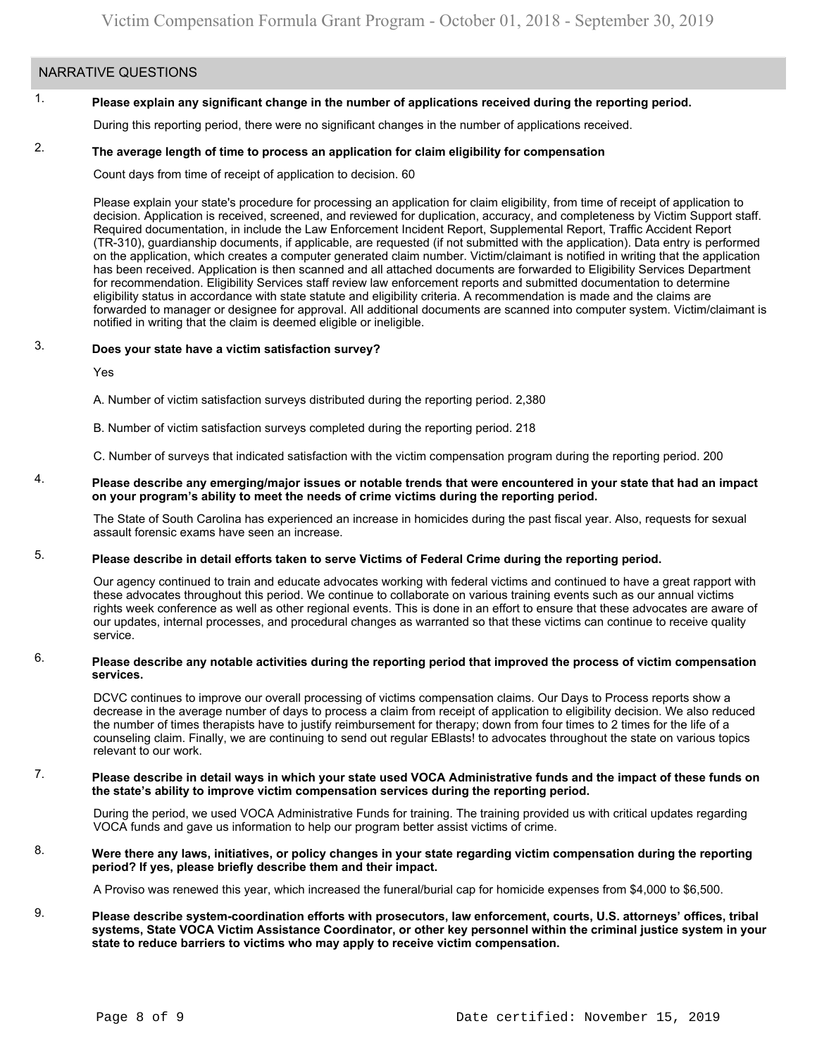# NARRATIVE QUESTIONS

#### 1. **Please explain any significant change in the number of applications received during the reporting period.**

During this reporting period, there were no significant changes in the number of applications received.

#### 2. **The average length of time to process an application for claim eligibility for compensation**

Count days from time of receipt of application to decision. 60

Please explain your state's procedure for processing an application for claim eligibility, from time of receipt of application to decision. Application is received, screened, and reviewed for duplication, accuracy, and completeness by Victim Support staff. Required documentation, in include the Law Enforcement Incident Report, Supplemental Report, Traffic Accident Report (TR-310), guardianship documents, if applicable, are requested (if not submitted with the application). Data entry is performed on the application, which creates a computer generated claim number. Victim/claimant is notified in writing that the application has been received. Application is then scanned and all attached documents are forwarded to Eligibility Services Department for recommendation. Eligibility Services staff review law enforcement reports and submitted documentation to determine eligibility status in accordance with state statute and eligibility criteria. A recommendation is made and the claims are forwarded to manager or designee for approval. All additional documents are scanned into computer system. Victim/claimant is notified in writing that the claim is deemed eligible or ineligible.

#### 3. **Does your state have a victim satisfaction survey?**

Yes

A. Number of victim satisfaction surveys distributed during the reporting period. 2,380

B. Number of victim satisfaction surveys completed during the reporting period. 218

C. Number of surveys that indicated satisfaction with the victim compensation program during the reporting period. 200

#### 4. **Please describe any emerging/major issues or notable trends that were encountered in your state that had an impact on your program's ability to meet the needs of crime victims during the reporting period.**

The State of South Carolina has experienced an increase in homicides during the past fiscal year. Also, requests for sexual assault forensic exams have seen an increase.

#### 5. **Please describe in detail efforts taken to serve Victims of Federal Crime during the reporting period.**

Our agency continued to train and educate advocates working with federal victims and continued to have a great rapport with these advocates throughout this period. We continue to collaborate on various training events such as our annual victims rights week conference as well as other regional events. This is done in an effort to ensure that these advocates are aware of our updates, internal processes, and procedural changes as warranted so that these victims can continue to receive quality service.

#### 6. **Please describe any notable activities during the reporting period that improved the process of victim compensation services.**

DCVC continues to improve our overall processing of victims compensation claims. Our Days to Process reports show a decrease in the average number of days to process a claim from receipt of application to eligibility decision. We also reduced the number of times therapists have to justify reimbursement for therapy; down from four times to 2 times for the life of a counseling claim. Finally, we are continuing to send out regular EBlasts! to advocates throughout the state on various topics relevant to our work.

#### 7. **Please describe in detail ways in which your state used VOCA Administrative funds and the impact of these funds on the state's ability to improve victim compensation services during the reporting period.**

During the period, we used VOCA Administrative Funds for training. The training provided us with critical updates regarding VOCA funds and gave us information to help our program better assist victims of crime.

#### 8. **Were there any laws, initiatives, or policy changes in your state regarding victim compensation during the reporting period? If yes, please briefly describe them and their impact.**

A Proviso was renewed this year, which increased the funeral/burial cap for homicide expenses from \$4,000 to \$6,500.

### 9. **Please describe system-coordination efforts with prosecutors, law enforcement, courts, U.S. attorneys' offices, tribal systems, State VOCA Victim Assistance Coordinator, or other key personnel within the criminal justice system in your state to reduce barriers to victims who may apply to receive victim compensation.**